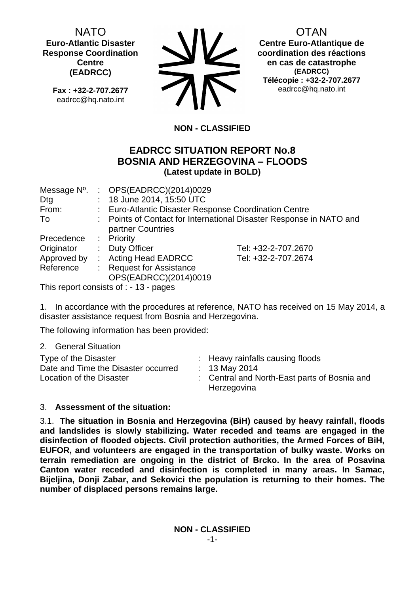NATO **Euro-Atlantic Disaster Response Coordination Centre (EADRCC)**

**Fax : +32-2-707.2677** eadrcc@hq.nato.int



OTAN

**Centre Euro-Atlantique de coordination des réactions en cas de catastrophe (EADRCC) Télécopie : +32-2-707.2677** eadrcc@hq.nato.int

# **NON - CLASSIFIED**

## **EADRCC SITUATION REPORT No.8 BOSNIA AND HERZEGOVINA – FLOODS (Latest update in BOLD)**

| Message N°. | : $OPS(EADRCC)(2014)0029$                                           |                     |  |
|-------------|---------------------------------------------------------------------|---------------------|--|
| Dtg         | : 18 June 2014, 15:50 UTC                                           |                     |  |
| From:       | : Euro-Atlantic Disaster Response Coordination Centre               |                     |  |
| To          | : Points of Contact for International Disaster Response in NATO and |                     |  |
|             | partner Countries                                                   |                     |  |
| Precedence  | : Priority                                                          |                     |  |
| Originator  | : Duty Officer                                                      | Tel: +32-2-707.2670 |  |
| Approved by | : Acting Head EADRCC                                                | Tel: +32-2-707.2674 |  |
| Reference   | : Request for Assistance                                            |                     |  |
|             | OPS(EADRCC)(2014)0019                                               |                     |  |

This report consists of : - 13 - pages

1. In accordance with the procedures at reference, NATO has received on 15 May 2014, a disaster assistance request from Bosnia and Herzegovina.

The following information has been provided:

2. General Situation

| Type of the Disaster<br>Date and Time the Disaster occurred<br>Location of the Disaster |  | : Heavy rainfalls causing floods<br>: 13 May 2014<br>: Central and North-East parts of Bosnia and<br>Herzegovina |
|-----------------------------------------------------------------------------------------|--|------------------------------------------------------------------------------------------------------------------|
|-----------------------------------------------------------------------------------------|--|------------------------------------------------------------------------------------------------------------------|

### 3. **Assessment of the situation:**

3.1. **The situation in Bosnia and Herzegovina (BiH) caused by heavy rainfall, floods and landslides is slowly stabilizing. Water receded and teams are engaged in the disinfection of flooded objects. Civil protection authorities, the Armed Forces of BiH, EUFOR, and volunteers are engaged in the transportation of bulky waste. Works on terrain remediation are ongoing in the district of Brcko. In the area of Posavina Canton water receded and disinfection is completed in many areas. In Samac, Bijeljina, Donji Zabar, and Sekovici the population is returning to their homes. The number of displaced persons remains large.**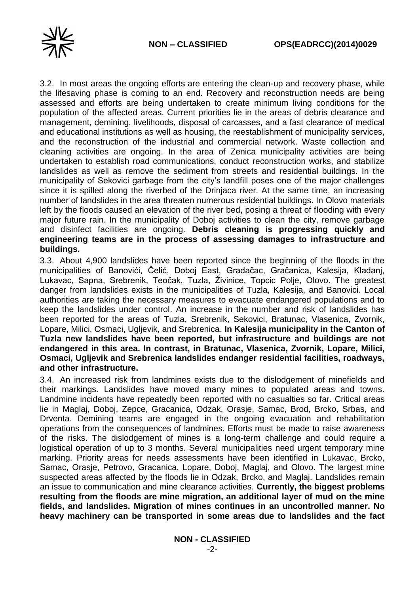



3.2. In most areas the ongoing efforts are entering the clean-up and recovery phase, while the lifesaving phase is coming to an end. Recovery and reconstruction needs are being assessed and efforts are being undertaken to create minimum living conditions for the population of the affected areas. Current priorities lie in the areas of debris clearance and management, demining, livelihoods, disposal of carcasses, and a fast clearance of medical and educational institutions as well as housing, the reestablishment of municipality services, and the reconstruction of the industrial and commercial network. Waste collection and cleaning activities are ongoing. In the area of Zenica municipality activities are being undertaken to establish road communications, conduct reconstruction works, and stabilize landslides as well as remove the sediment from streets and residential buildings. In the municipality of Sekovici garbage from the city's landfill poses one of the major challenges since it is spilled along the riverbed of the Drinjaca river. At the same time, an increasing number of landslides in the area threaten numerous residential buildings. In Olovo materials left by the floods caused an elevation of the river bed, posing a threat of flooding with every major future rain. In the municipality of Doboj activities to clean the city, remove garbage and disinfect facilities are ongoing. **Debris cleaning is progressing quickly and engineering teams are in the process of assessing damages to infrastructure and buildings.**

3.3. About 4,900 landslides have been reported since the beginning of the floods in the municipalities of Banovići, Čelić, Doboj East, Gradačac, Gračanica, Kalesija, Kladanj, Lukavac, Sapna, Srebrenik, Teočak, Tuzla, Živinice, Topcic Polje, Olovo. The greatest danger from landslides exists in the municipalities of Tuzla, Kalesija, and Banovici. Local authorities are taking the necessary measures to evacuate endangered populations and to keep the landslides under control. An increase in the number and risk of landslides has been reported for the areas of Tuzla, Srebrenik, Sekovici, Bratunac, Vlasenica, Zvornik, Lopare, Milici, Osmaci, Ugljevik, and Srebrenica. **In Kalesija municipality in the Canton of Tuzla new landslides have been reported, but infrastructure and buildings are not endangered in this area. In contrast, in Bratunac, Vlasenica, Zvornik, Lopare, Milici, Osmaci, Ugljevik and Srebrenica landslides endanger residential facilities, roadways, and other infrastructure.**

3.4. An increased risk from landmines exists due to the dislodgement of minefields and their markings. Landslides have moved many mines to populated areas and towns. Landmine incidents have repeatedly been reported with no casualties so far. Critical areas lie in Maglaj, Doboj, Zepce, Gracanica, Odzak, Orasje, Samac, Brod, Brcko, Srbas, and Drventa. Demining teams are engaged in the ongoing evacuation and rehabilitation operations from the consequences of landmines. Efforts must be made to raise awareness of the risks. The dislodgement of mines is a long-term challenge and could require a logistical operation of up to 3 months. Several municipalities need urgent temporary mine marking. Priority areas for needs assessments have been identified in Lukavac, Brcko, Samac, Orasje, Petrovo, Gracanica, Lopare, Doboj, Maglaj, and Olovo. The largest mine suspected areas affected by the floods lie in Odzak, Brcko, and Maglaj. Landslides remain an issue to communication and mine clearance activities. **Currently, the biggest problems resulting from the floods are mine migration, an additional layer of mud on the mine fields, and landslides. Migration of mines continues in an uncontrolled manner. No heavy machinery can be transported in some areas due to landslides and the fact**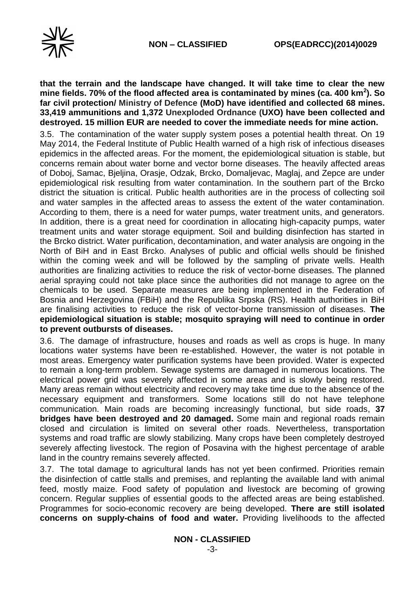**that the terrain and the landscape have changed. It will take time to clear the new mine fields. 70% of the flood affected area is contaminated by mines (ca. 400 km<sup>2</sup> ). So far civil protection/ Ministry of Defence (MoD) have identified and collected 68 mines. 33,419 ammunitions and 1,372 Unexploded Ordnance (UXO) have been collected and destroyed. 15 million EUR are needed to cover the immediate needs for mine action.**

3.5. The contamination of the water supply system poses a potential health threat. On 19 May 2014, the Federal Institute of Public Health warned of a high risk of infectious diseases epidemics in the affected areas. For the moment, the epidemiological situation is stable, but concerns remain about water borne and vector borne diseases. The heavily affected areas of Doboj, Samac, Bjeljina, Orasje, Odzak, Brcko, Domaljevac, Maglaj, and Zepce are under epidemiological risk resulting from water contamination. In the southern part of the Brcko district the situation is critical. Public health authorities are in the process of collecting soil and water samples in the affected areas to assess the extent of the water contamination. According to them, there is a need for water pumps, water treatment units, and generators. In addition, there is a great need for coordination in allocating high-capacity pumps, water treatment units and water storage equipment. Soil and building disinfection has started in the Brcko district. Water purification, decontamination, and water analysis are ongoing in the North of BiH and in East Brcko. Analyses of public and official wells should be finished within the coming week and will be followed by the sampling of private wells. Health authorities are finalizing activities to reduce the risk of vector-borne diseases. The planned aerial spraying could not take place since the authorities did not manage to agree on the chemicals to be used. Separate measures are being implemented in the Federation of Bosnia and Herzegovina (FBiH) and the Republika Srpska (RS). Health authorities in BiH are finalising activities to reduce the risk of vector-borne transmission of diseases. **The epidemiological situation is stable; mosquito spraying will need to continue in order to prevent outbursts of diseases.**

3.6. The damage of infrastructure, houses and roads as well as crops is huge. In many locations water systems have been re-established. However, the water is not potable in most areas. Emergency water purification systems have been provided. Water is expected to remain a long-term problem. Sewage systems are damaged in numerous locations. The electrical power grid was severely affected in some areas and is slowly being restored. Many areas remain without electricity and recovery may take time due to the absence of the necessary equipment and transformers. Some locations still do not have telephone communication. Main roads are becoming increasingly functional, but side roads, **37 bridges have been destroyed and 20 damaged.** Some main and regional roads remain closed and circulation is limited on several other roads. Nevertheless, transportation systems and road traffic are slowly stabilizing. Many crops have been completely destroyed severely affecting livestock. The region of Posavina with the highest percentage of arable land in the country remains severely affected.

3.7. The total damage to agricultural lands has not yet been confirmed. Priorities remain the disinfection of cattle stalls and premises, and replanting the available land with animal feed, mostly maize. Food safety of population and livestock are becoming of growing concern. Regular supplies of essential goods to the affected areas are being established. Programmes for socio-economic recovery are being developed. **There are still isolated concerns on supply-chains of food and water.** Providing livelihoods to the affected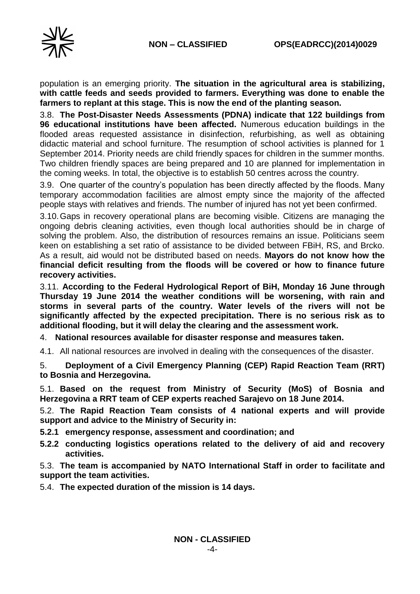

population is an emerging priority. **The situation in the agricultural area is stabilizing, with cattle feeds and seeds provided to farmers. Everything was done to enable the farmers to replant at this stage. This is now the end of the planting season.**

3.8. **The Post-Disaster Needs Assessments (PDNA) indicate that 122 buildings from 96 educational institutions have been affected.** Numerous education buildings in the flooded areas requested assistance in disinfection, refurbishing, as well as obtaining didactic material and school furniture. The resumption of school activities is planned for 1 September 2014. Priority needs are child friendly spaces for children in the summer months. Two children friendly spaces are being prepared and 10 are planned for implementation in the coming weeks. In total, the objective is to establish 50 centres across the country.

3.9. One quarter of the country's population has been directly affected by the floods. Many temporary accommodation facilities are almost empty since the majority of the affected people stays with relatives and friends. The number of injured has not yet been confirmed.

3.10.Gaps in recovery operational plans are becoming visible. Citizens are managing the ongoing debris cleaning activities, even though local authorities should be in charge of solving the problem. Also, the distribution of resources remains an issue. Politicians seem keen on establishing a set ratio of assistance to be divided between FBiH, RS, and Brcko. As a result, aid would not be distributed based on needs. **Mayors do not know how the financial deficit resulting from the floods will be covered or how to finance future recovery activities.**

3.11. **According to the Federal Hydrological Report of BiH, Monday 16 June through Thursday 19 June 2014 the weather conditions will be worsening, with rain and storms in several parts of the country. Water levels of the rivers will not be significantly affected by the expected precipitation. There is no serious risk as to additional flooding, but it will delay the clearing and the assessment work.**

4. **National resources available for disaster response and measures taken.** 

4.1. All national resources are involved in dealing with the consequences of the disaster.

5. **Deployment of a Civil Emergency Planning (CEP) Rapid Reaction Team (RRT) to Bosnia and Herzegovina.**

5.1. **Based on the request from Ministry of Security (MoS) of Bosnia and Herzegovina a RRT team of CEP experts reached Sarajevo on 18 June 2014.** 

5.2. **The Rapid Reaction Team consists of 4 national experts and will provide support and advice to the Ministry of Security in:**

**5.2.1 emergency response, assessment and coordination; and**

**5.2.2 conducting logistics operations related to the delivery of aid and recovery activities.** 

5.3. **The team is accompanied by NATO International Staff in order to facilitate and support the team activities.** 

5.4. **The expected duration of the mission is 14 days.**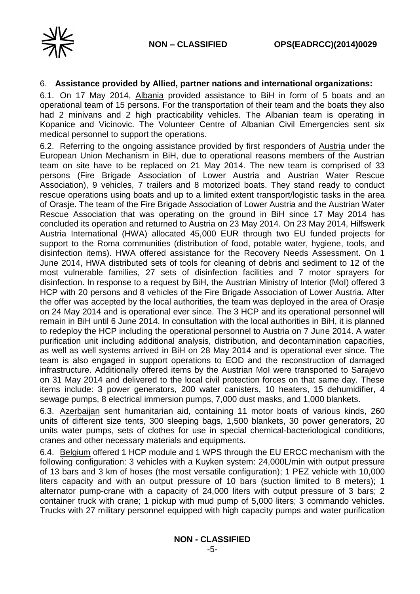

### 6. **Assistance provided by Allied, partner nations and international organizations:**

6.1. On 17 May 2014, Albania provided assistance to BiH in form of 5 boats and an operational team of 15 persons. For the transportation of their team and the boats they also had 2 minivans and 2 high practicability vehicles. The Albanian team is operating in Kopanice and Vicinovic. The Volunteer Centre of Albanian Civil Emergencies sent six medical personnel to support the operations.

6.2. Referring to the ongoing assistance provided by first responders of Austria under the European Union Mechanism in BiH, due to operational reasons members of the Austrian team on site have to be replaced on 21 May 2014. The new team is comprised of 33 persons (Fire Brigade Association of Lower Austria and Austrian Water Rescue Association), 9 vehicles, 7 trailers and 8 motorized boats. They stand ready to conduct rescue operations using boats and up to a limited extent transport/logistic tasks in the area of Orasje. The team of the Fire Brigade Association of Lower Austria and the Austrian Water Rescue Association that was operating on the ground in BiH since 17 May 2014 has concluded its operation and returned to Austria on 23 May 2014. On 23 May 2014, Hilfswerk Austria International (HWA) allocated 45,000 EUR through two EU funded projects for support to the Roma communities (distribution of food, potable water, hygiene, tools, and disinfection items). HWA offered assistance for the Recovery Needs Assessment. On 1 June 2014, HWA distributed sets of tools for cleaning of debris and sediment to 12 of the most vulnerable families, 27 sets of disinfection facilities and 7 motor sprayers for disinfection. In response to a request by BiH, the Austrian Ministry of Interior (MoI) offered 3 HCP with 20 persons and 8 vehicles of the Fire Brigade Association of Lower Austria. After the offer was accepted by the local authorities, the team was deployed in the area of Orasje on 24 May 2014 and is operational ever since. The 3 HCP and its operational personnel will remain in BiH until 6 June 2014. In consultation with the local authorities in BiH, it is planned to redeploy the HCP including the operational personnel to Austria on 7 June 2014. A water purification unit including additional analysis, distribution, and decontamination capacities, as well as well systems arrived in BiH on 28 May 2014 and is operational ever since. The team is also engaged in support operations to EOD and the reconstruction of damaged infrastructure. Additionally offered items by the Austrian MoI were transported to Sarajevo on 31 May 2014 and delivered to the local civil protection forces on that same day. These items include: 3 power generators, 200 water canisters, 10 heaters, 15 dehumidifier, 4 sewage pumps, 8 electrical immersion pumps, 7,000 dust masks, and 1,000 blankets.

6.3. Azerbaijan sent humanitarian aid, containing 11 motor boats of various kinds, 260 units of different size tents, 300 sleeping bags, 1,500 blankets, 30 power generators, 20 units water pumps, sets of clothes for use in special chemical-bacteriological conditions, cranes and other necessary materials and equipments.

6.4. Belgium offered 1 HCP module and 1 WPS through the EU ERCC mechanism with the following configuration: 3 vehicles with a Kuyken system: 24,000L/min with output pressure of 13 bars and 3 km of hoses (the most versatile configuration); 1 PEZ vehicle with 10,000 liters capacity and with an output pressure of 10 bars (suction limited to 8 meters); 1 alternator pump-crane with a capacity of 24,000 liters with output pressure of 3 bars; 2 container truck with crane; 1 pickup with mud pump of 5,000 liters; 3 commando vehicles. Trucks with 27 military personnel equipped with high capacity pumps and water purification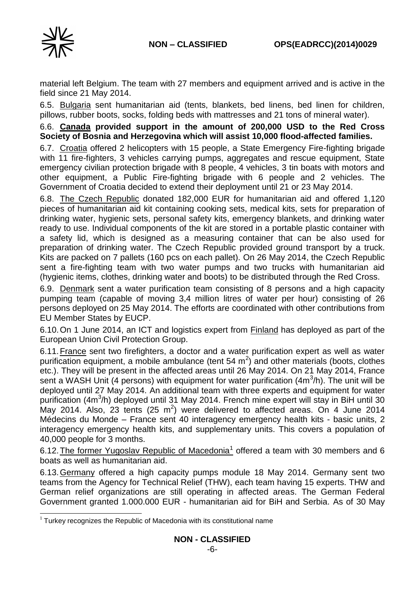

material left Belgium. The team with 27 members and equipment arrived and is active in the field since 21 May 2014.

6.5. Bulgaria sent humanitarian aid (tents, blankets, bed linens, bed linen for children, pillows, rubber boots, socks, folding beds with mattresses and 21 tons of mineral water).

6.6. **Canada provided support in the amount of 200,000 USD to the Red Cross Society of Bosnia and Herzegovina which will assist 10,000 flood-affected families.**

6.7. Croatia offered 2 helicopters with 15 people, a State Emergency Fire-fighting brigade with 11 fire-fighters, 3 vehicles carrying pumps, aggregates and rescue equipment, State emergency civilian protection brigade with 8 people, 4 vehicles, 3 tin boats with motors and other equipment, a Public Fire-fighting brigade with 6 people and 2 vehicles. The Government of Croatia decided to extend their deployment until 21 or 23 May 2014.

6.8. The Czech Republic donated 182,000 EUR for humanitarian aid and offered 1,120 pieces of humanitarian aid kit containing cooking sets, medical kits, sets for preparation of drinking water, hygienic sets, personal safety kits, emergency blankets, and drinking water ready to use. Individual components of the kit are stored in a portable plastic container with a safety lid, which is designed as a measuring container that can be also used for preparation of drinking water. The Czech Republic provided ground transport by a truck. Kits are packed on 7 pallets (160 pcs on each pallet). On 26 May 2014, the Czech Republic sent a fire-fighting team with two water pumps and two trucks with humanitarian aid (hygienic items, clothes, drinking water and boots) to be distributed through the Red Cross.

6.9. Denmark sent a water purification team consisting of 8 persons and a high capacity pumping team (capable of moving 3,4 million litres of water per hour) consisting of 26 persons deployed on 25 May 2014. The efforts are coordinated with other contributions from EU Member States by EUCP.

6.10.On 1 June 2014, an ICT and logistics expert from Finland has deployed as part of the European Union Civil Protection Group.

6.11.France sent two firefighters, a doctor and a water purification expert as well as water purification equipment, a mobile ambulance (tent 54  $m^2$ ) and other materials (boots, clothes etc.). They will be present in the affected areas until 26 May 2014. On 21 May 2014, France sent a WASH Unit (4 persons) with equipment for water purification (4m<sup>3</sup>/h). The unit will be deployed until 27 May 2014. An additional team with three experts and equipment for water purification (4m<sup>3</sup>/h) deployed until 31 May 2014. French mine expert will stay in BiH until 30 May 2014. Also, 23 tents (25  $m^2$ ) were delivered to affected areas. On 4 June 2014 Médecins du Monde – France sent 40 interagency emergency health kits - basic units, 2 interagency emergency health kits, and supplementary units. This covers a population of 40,000 people for 3 months.

6.12. The former Yugoslav Republic of Macedonia<sup>1</sup> offered a team with 30 members and 6 boats as well as humanitarian aid.

6.13.Germany offered a high capacity pumps module 18 May 2014. Germany sent two teams from the Agency for Technical Relief (THW), each team having 15 experts. THW and German relief organizations are still operating in affected areas. The German Federal Government granted 1.000.000 EUR - humanitarian aid for BiH and Serbia. As of 30 May

<sup>-</sup> $1$  Turkey recognizes the Republic of Macedonia with its constitutional name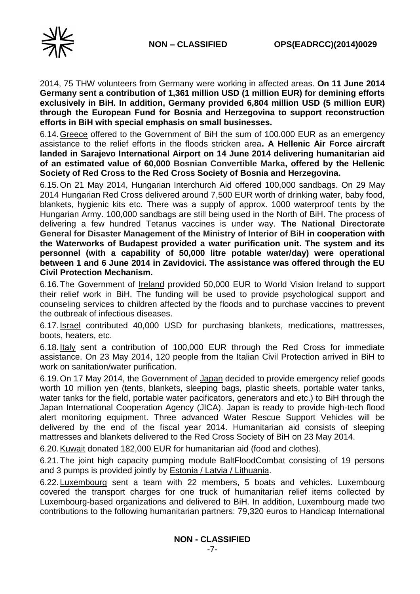

2014, 75 THW volunteers from Germany were working in affected areas. **On 11 June 2014 Germany sent a contribution of 1,361 million USD (1 million EUR) for demining efforts exclusively in BiH. In addition, Germany provided 6,804 million USD (5 million EUR) through the European Fund for Bosnia and Herzegovina to support reconstruction efforts in BiH with special emphasis on small businesses.** 

6.14.Greece offered to the Government of BiH the sum of 100.000 EUR as an emergency assistance to the relief efforts in the floods stricken area**. A Hellenic Air Force aircraft landed in Sarajevo International Airport on 14 June 2014 delivering humanitarian aid of an estimated value of 60,000 Bosnian Convertible Marka, offered by the Hellenic Society of Red Cross to the Red Cross Society of Bosnia and Herzegovina.**

6.15.On 21 May 2014, Hungarian Interchurch Aid offered 100,000 sandbags. On 29 May 2014 Hungarian Red Cross delivered around 7,500 EUR worth of drinking water, baby food, blankets, hygienic kits etc. There was a supply of approx. 1000 waterproof tents by the Hungarian Army. 100,000 sandbags are still being used in the North of BiH. The process of delivering a few hundred Tetanus vaccines is under way. **The National Directorate General for Disaster Management of the Ministry of Interior of BiH in cooperation with the Waterworks of Budapest provided a water purification unit. The system and its personnel (with a capability of 50,000 litre potable water/day) were operational between 1 and 6 June 2014 in Zavidovici. The assistance was offered through the EU Civil Protection Mechanism.**

6.16.The Government of Ireland provided 50,000 EUR to World Vision Ireland to support their relief work in BiH. The funding will be used to provide psychological support and counseling services to children affected by the floods and to purchase vaccines to prevent the outbreak of infectious diseases.

6.17.Israel contributed 40,000 USD for purchasing blankets, medications, mattresses, boots, heaters, etc.

6.18.Italy sent a contribution of 100,000 EUR through the Red Cross for immediate assistance. On 23 May 2014, 120 people from the Italian Civil Protection arrived in BiH to work on sanitation/water purification.

6.19.On 17 May 2014, the Government of Japan decided to provide emergency relief goods worth 10 million yen (tents, blankets, sleeping bags, plastic sheets, portable water tanks, water tanks for the field, portable water pacificators, generators and etc.) to BiH through the Japan International Cooperation Agency (JICA). Japan is ready to provide high-tech flood alert monitoring equipment. Three advanced Water Rescue Support Vehicles will be delivered by the end of the fiscal year 2014. Humanitarian aid consists of sleeping mattresses and blankets delivered to the Red Cross Society of BiH on 23 May 2014.

6.20.Kuwait donated 182,000 EUR for humanitarian aid (food and clothes).

6.21.The joint high capacity pumping module BaltFloodCombat consisting of 19 persons and 3 pumps is provided jointly by Estonia / Latvia / Lithuania.

6.22.Luxembourg sent a team with 22 members, 5 boats and vehicles. Luxembourg covered the transport charges for one truck of humanitarian relief items collected by Luxembourg-based organizations and delivered to BiH. In addition, Luxembourg made two contributions to the following humanitarian partners: 79,320 euros to Handicap International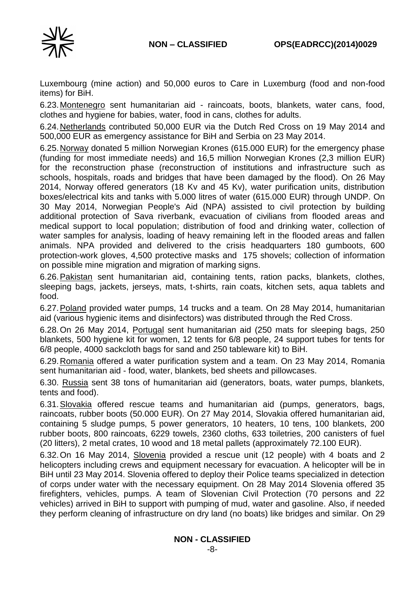

Luxembourg (mine action) and 50,000 euros to Care in Luxemburg (food and non-food items) for BiH.

6.23.Montenegro sent humanitarian aid - raincoats, boots, blankets, water cans, food, clothes and hygiene for babies, water, food in cans, clothes for adults.

6.24.Netherlands contributed 50,000 EUR via the Dutch Red Cross on 19 May 2014 and 500,000 EUR as emergency assistance for BiH and Serbia on 23 May 2014.

6.25.Norway donated 5 million Norwegian Krones (615.000 EUR) for the emergency phase (funding for most immediate needs) and 16,5 million Norwegian Krones (2,3 million EUR) for the reconstruction phase (reconstruction of institutions and infrastructure such as schools, hospitals, roads and bridges that have been damaged by the flood). On 26 May 2014, Norway offered generators (18 Kv and 45 Kv), water purification units, distribution boxes/electrical kits and tanks with 5.000 litres of water (615.000 EUR) through UNDP. On 30 May 2014, Norwegian People's Aid (NPA) assisted to civil protection by building additional protection of Sava riverbank, evacuation of civilians from flooded areas and medical support to local population; distribution of food and drinking water, collection of water samples for analysis, loading of heavy remaining left in the flooded areas and fallen animals. NPA provided and delivered to the crisis headquarters 180 gumboots, 600 protection-work gloves, 4,500 protective masks and 175 shovels; collection of information on possible mine migration and migration of marking signs.

6.26.Pakistan sent humanitarian aid, containing tents, ration packs, blankets, clothes, sleeping bags, jackets, jerseys, mats, t-shirts, rain coats, kitchen sets, aqua tablets and food.

6.27.Poland provided water pumps, 14 trucks and a team. On 28 May 2014, humanitarian aid (various hygienic items and disinfectors) was distributed through the Red Cross.

6.28.On 26 May 2014, Portugal sent humanitarian aid (250 mats for sleeping bags, 250 blankets, 500 hygiene kit for women, 12 tents for 6/8 people, 24 support tubes for tents for 6/8 people, 4000 sackcloth bags for sand and 250 tableware kit) to BiH.

6.29.Romania offered a water purification system and a team. On 23 May 2014, Romania sent humanitarian aid - food, water, blankets, bed sheets and pillowcases.

6.30. Russia sent 38 tons of humanitarian aid (generators, boats, water pumps, blankets, tents and food).

6.31.Slovakia offered rescue teams and humanitarian aid (pumps, generators, bags, raincoats, rubber boots (50.000 EUR). On 27 May 2014, Slovakia offered humanitarian aid, containing 5 sludge pumps, 5 power generators, 10 heaters, 10 tens, 100 blankets, 200 rubber boots, 800 raincoats, 6229 towels, 2360 cloths, 633 toiletries, 200 canisters of fuel (20 litters), 2 metal crates, 10 wood and 18 metal pallets (approximately 72.100 EUR).

6.32.On 16 May 2014, Slovenia provided a rescue unit (12 people) with 4 boats and 2 helicopters including crews and equipment necessary for evacuation. A helicopter will be in BiH until 23 May 2014. Slovenia offered to deploy their Police teams specialized in detection of corps under water with the necessary equipment. On 28 May 2014 Slovenia offered 35 firefighters, vehicles, pumps. A team of Slovenian Civil Protection (70 persons and 22 vehicles) arrived in BiH to support with pumping of mud, water and gasoline. Also, if needed they perform cleaning of infrastructure on dry land (no boats) like bridges and similar. On 29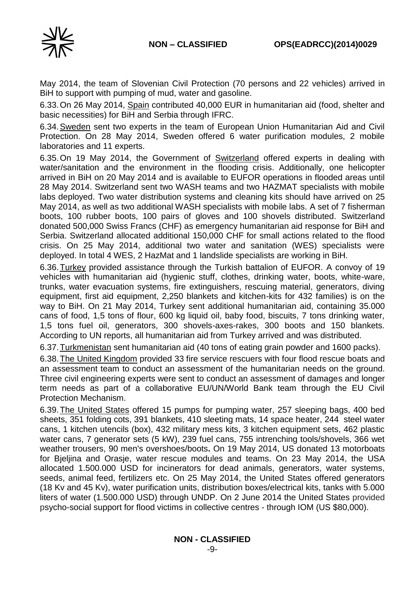

May 2014, the team of Slovenian Civil Protection (70 persons and 22 vehicles) arrived in BiH to support with pumping of mud, water and gasoline.

6.33.On 26 May 2014, Spain contributed 40,000 EUR in humanitarian aid (food, shelter and basic necessities) for BiH and Serbia through IFRC.

6.34.Sweden sent two experts in the team of European Union Humanitarian Aid and Civil Protection. On 28 May 2014, Sweden offered 6 water purification modules, 2 mobile laboratories and 11 experts.

6.35.On 19 May 2014, the Government of Switzerland offered experts in dealing with water/sanitation and the environment in the flooding crisis. Additionally, one helicopter arrived in BiH on 20 May 2014 and is available to EUFOR operations in flooded areas until 28 May 2014. Switzerland sent two WASH teams and two HAZMAT specialists with mobile labs deployed. Two water distribution systems and cleaning kits should have arrived on 25 May 2014, as well as two additional WASH specialists with mobile labs. A set of 7 fisherman boots, 100 rubber boots, 100 pairs of gloves and 100 shovels distributed. Switzerland donated 500,000 Swiss Francs (CHF) as emergency humanitarian aid response for BiH and Serbia. Switzerland allocated additional 150,000 CHF for small actions related to the flood crisis. On 25 May 2014, additional two water and sanitation (WES) specialists were deployed. In total 4 WES, 2 HazMat and 1 landslide specialists are working in BiH.

6.36.Turkey provided assistance through the Turkish battalion of EUFOR. A convoy of 19 vehicles with humanitarian aid (hygienic stuff, clothes, drinking water, boots, white-ware, trunks, water evacuation systems, fire extinguishers, rescuing material, generators, diving equipment, first aid equipment, 2,250 blankets and kitchen-kits for 432 families) is on the way to BiH. On 21 May 2014, Turkey sent additional humanitarian aid, containing 35.000 cans of food, 1,5 tons of flour, 600 kg liquid oil, baby food, biscuits, 7 tons drinking water, 1,5 tons fuel oil, generators, 300 shovels-axes-rakes, 300 boots and 150 blankets. According to UN reports, all humanitarian aid from Turkey arrived and was distributed.

6.37.Turkmenistan sent humanitarian aid (40 tons of eating grain powder and 1600 packs).

6.38.The United Kingdom provided 33 fire service rescuers with four flood rescue boats and an assessment team to conduct an assessment of the humanitarian needs on the ground. Three civil engineering experts were sent to conduct an assessment of damages and longer term needs as part of a collaborative EU/UN/World Bank team through the EU Civil Protection Mechanism.

6.39.The United States offered 15 pumps for pumping water, 257 sleeping bags, 400 bed sheets, 351 folding cots, 391 blankets, 410 sleeting mats, 14 space heater, 244 steel water cans, 1 kitchen utencils (box), 432 military mess kits, 3 kitchen equipment sets, 462 plastic water cans, 7 generator sets (5 kW), 239 fuel cans, 755 intrenching tools/shovels, 366 wet weather trousers, 90 men's overshoes/boots**.** On 19 May 2014, US donated 13 motorboats for Bjeljina and Orasje, water rescue modules and teams. On 23 May 2014, the USA allocated 1.500.000 USD for incinerators for dead animals, generators, water systems, seeds, animal feed, fertilizers etc. On 25 May 2014, the United States offered generators (18 Kv and 45 Kv), water purification units, distribution boxes/electrical kits, tanks with 5.000 liters of water (1.500.000 USD) through UNDP. On 2 June 2014 the United States provided psycho-social support for flood victims in collective centres - through IOM (US \$80,000).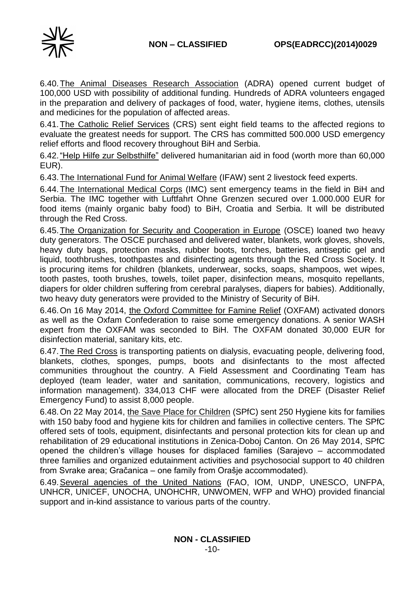

6.40.The Animal Diseases Research Association (ADRA) opened current budget of 100,000 USD with possibility of additional funding. Hundreds of ADRA volunteers engaged in the preparation and delivery of packages of food, water, hygiene items, clothes, utensils and medicines for the population of affected areas.

6.41.The Catholic Relief Services (CRS) sent eight field teams to the affected regions to evaluate the greatest needs for support. The CRS has committed 500.000 USD emergency relief efforts and flood recovery throughout BiH and Serbia.

6.42."Help Hilfe zur Selbsthilfe" delivered humanitarian aid in food (worth more than 60,000 EUR).

6.43.The International Fund for Animal Welfare (IFAW) sent 2 livestock feed experts.

6.44.The International Medical Corps (IMC) sent emergency teams in the field in BiH and Serbia. The IMC together with Luftfahrt Ohne Grenzen secured over 1.000.000 EUR for food items (mainly organic baby food) to BiH, Croatia and Serbia. It will be distributed through the Red Cross.

6.45.The Organization for Security and Cooperation in Europe (OSCE) loaned two heavy duty generators. The OSCE purchased and delivered water, blankets, work gloves, shovels, heavy duty bags, protection masks, rubber boots, torches, batteries, antiseptic gel and liquid, toothbrushes, toothpastes and disinfecting agents through the Red Cross Society. It is procuring items for children (blankets, underwear, socks, soaps, shampoos, wet wipes, tooth pastes, tooth brushes, towels, toilet paper, disinfection means, mosquito repellants, diapers for older children suffering from cerebral paralyses, diapers for babies). Additionally, two heavy duty generators were provided to the Ministry of Security of BiH.

6.46.On 16 May 2014, the Oxford Committee for Famine Relief (OXFAM) activated donors as well as the Oxfam Confederation to raise some emergency donations. A senior WASH expert from the OXFAM was seconded to BiH. The OXFAM donated 30,000 EUR for disinfection material, sanitary kits, etc.

6.47.The Red Cross is transporting patients on dialysis, evacuating people, delivering food, blankets, clothes, sponges, pumps, boots and disinfectants to the most affected communities throughout the country. A Field Assessment and Coordinating Team has deployed (team leader, water and sanitation, communications, recovery, logistics and information management). 334,013 CHF were allocated from the DREF (Disaster Relief Emergency Fund) to assist 8,000 people.

6.48.On 22 May 2014, the Save Place for Children (SPfC) sent 250 Hygiene kits for families with 150 baby food and hygiene kits for children and families in collective centers. The SPfC offered sets of tools, equipment, disinfectants and personal protection kits for clean up and rehabilitation of 29 educational institutions in Zenica-Doboj Canton. On 26 May 2014, SPfC opened the children's village houses for displaced families (Sarajevo – accommodated three families and organized edutainment activities and psychosocial support to 40 children from Svrake area; Gračanica – one family from Orašje accommodated).

6.49.Several agencies of the United Nations (FAO, IOM, UNDP, UNESCO, UNFPA, UNHCR, UNICEF, UNOCHA, UNOHCHR, UNWOMEN, WFP and WHO) provided financial support and in-kind assistance to various parts of the country.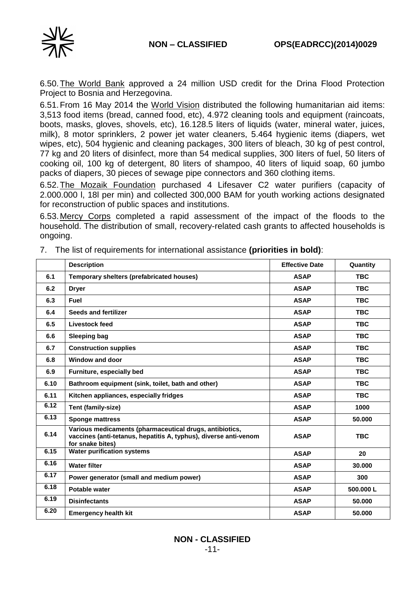

6.50.The World Bank approved a 24 million USD credit for the Drina Flood Protection Project to Bosnia and Herzegovina.

6.51.From 16 May 2014 the World Vision distributed the following humanitarian aid items: 3,513 food items (bread, canned food, etc), 4.972 cleaning tools and equipment (raincoats, boots, masks, gloves, shovels, etc), 16.128.5 liters of liquids (water, mineral water, juices, milk), 8 motor sprinklers, 2 power jet water cleaners, 5.464 hygienic items (diapers, wet wipes, etc), 504 hygienic and cleaning packages, 300 liters of bleach, 30 kg of pest control, 77 kg and 20 liters of disinfect, more than 54 medical supplies, 300 liters of fuel, 50 liters of cooking oil, 100 kg of detergent, 80 liters of shampoo, 40 liters of liquid soap, 60 jumbo packs of diapers, 30 pieces of sewage pipe connectors and 360 clothing items.

6.52.The Mozaik Foundation purchased 4 Lifesaver C2 water purifiers (capacity of 2.000.000 l, 18l per min) and collected 300,000 BAM for youth working actions designated for reconstruction of public spaces and institutions.

6.53.Mercy Corps completed a rapid assessment of the impact of the floods to the household. The distribution of small, recovery-related cash grants to affected households is ongoing.

|      | <b>Description</b>                                                                                                                              | <b>Effective Date</b> | Quantity   |
|------|-------------------------------------------------------------------------------------------------------------------------------------------------|-----------------------|------------|
| 6.1  | Temporary shelters (prefabricated houses)                                                                                                       | <b>ASAP</b>           | <b>TBC</b> |
| 6.2  | <b>Dryer</b>                                                                                                                                    | <b>ASAP</b>           | <b>TBC</b> |
| 6.3  | <b>Fuel</b>                                                                                                                                     | <b>ASAP</b>           | <b>TBC</b> |
| 6.4  | <b>Seeds and fertilizer</b>                                                                                                                     | <b>ASAP</b>           | <b>TBC</b> |
| 6.5  | Livestock feed                                                                                                                                  | <b>ASAP</b>           | <b>TBC</b> |
| 6.6  | <b>Sleeping bag</b>                                                                                                                             | <b>ASAP</b>           | <b>TBC</b> |
| 6.7  | <b>Construction supplies</b>                                                                                                                    | <b>ASAP</b>           | <b>TBC</b> |
| 6.8  | Window and door                                                                                                                                 | <b>ASAP</b>           | <b>TBC</b> |
| 6.9  | Furniture, especially bed                                                                                                                       | <b>ASAP</b>           | <b>TBC</b> |
| 6.10 | Bathroom equipment (sink, toilet, bath and other)                                                                                               | <b>ASAP</b>           | <b>TBC</b> |
| 6.11 | Kitchen appliances, especially fridges                                                                                                          | <b>ASAP</b>           | <b>TBC</b> |
| 6.12 | Tent (family-size)                                                                                                                              | <b>ASAP</b>           | 1000       |
| 6.13 | <b>Sponge mattress</b>                                                                                                                          | <b>ASAP</b>           | 50.000     |
| 6.14 | Various medicaments (pharmaceutical drugs, antibiotics,<br>vaccines (anti-tetanus, hepatitis A, typhus), diverse anti-venom<br>for snake bites) | <b>ASAP</b>           | <b>TBC</b> |
| 6.15 | <b>Water purification systems</b>                                                                                                               | <b>ASAP</b>           | 20         |
| 6.16 | <b>Water filter</b>                                                                                                                             | <b>ASAP</b>           | 30.000     |
| 6.17 | Power generator (small and medium power)                                                                                                        | <b>ASAP</b>           | 300        |
| 6.18 | Potable water                                                                                                                                   | <b>ASAP</b>           | 500,000L   |
| 6.19 | <b>Disinfectants</b>                                                                                                                            | <b>ASAP</b>           | 50.000     |
| 6.20 | <b>Emergency health kit</b>                                                                                                                     | <b>ASAP</b>           | 50.000     |

7. The list of requirements for international assistance **(priorities in bold)**: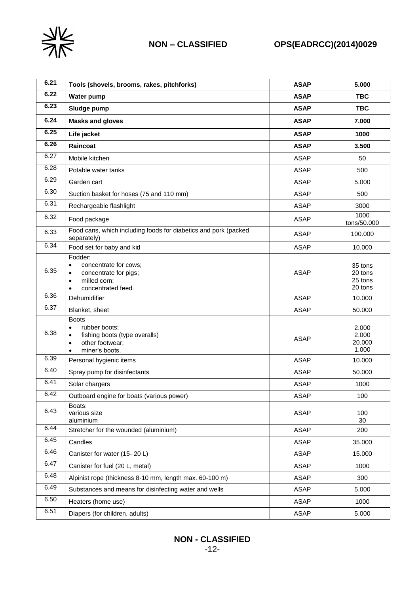

| 6.21 | Tools (shovels, brooms, rakes, pitchforks)                                                                                                      | <b>ASAP</b> | 5.000                                    |
|------|-------------------------------------------------------------------------------------------------------------------------------------------------|-------------|------------------------------------------|
| 6.22 | <b>Water pump</b>                                                                                                                               | <b>ASAP</b> | <b>TBC</b>                               |
| 6.23 | Sludge pump                                                                                                                                     | <b>ASAP</b> | <b>TBC</b>                               |
| 6.24 | <b>Masks and gloves</b>                                                                                                                         | <b>ASAP</b> | 7.000                                    |
| 6.25 | Life jacket                                                                                                                                     | <b>ASAP</b> | 1000                                     |
| 6.26 | Raincoat                                                                                                                                        | <b>ASAP</b> | 3.500                                    |
| 6.27 | Mobile kitchen                                                                                                                                  | <b>ASAP</b> | 50                                       |
| 6.28 | Potable water tanks                                                                                                                             | <b>ASAP</b> | 500                                      |
| 6.29 | Garden cart                                                                                                                                     | <b>ASAP</b> | 5.000                                    |
| 6.30 | Suction basket for hoses (75 and 110 mm)                                                                                                        | <b>ASAP</b> | 500                                      |
| 6.31 | Rechargeable flashlight                                                                                                                         | <b>ASAP</b> | 3000                                     |
| 6.32 | Food package                                                                                                                                    | <b>ASAP</b> | 1000<br>tons/50.000                      |
| 6.33 | Food cans, which including foods for diabetics and pork (packed<br>separately)                                                                  | <b>ASAP</b> | 100.000                                  |
| 6.34 | Food set for baby and kid                                                                                                                       | <b>ASAP</b> | 10.000                                   |
| 6.35 | Fodder:<br>concentrate for cows;<br>$\bullet$<br>concentrate for pigs;<br>٠<br>milled corn;<br>$\bullet$<br>concentrated feed.<br>$\bullet$     | <b>ASAP</b> | 35 tons<br>20 tons<br>25 tons<br>20 tons |
| 6.36 | Dehumidifier                                                                                                                                    | <b>ASAP</b> | 10.000                                   |
| 6.37 | Blanket, sheet                                                                                                                                  | <b>ASAP</b> | 50.000                                   |
| 6.38 | <b>Boots</b><br>rubber boots:<br>$\bullet$<br>fishing boots (type overalls)<br>$\bullet$<br>other footwear;<br>$\bullet$<br>miner's boots.<br>٠ | <b>ASAP</b> | 2.000<br>2.000<br>20.000<br>1.000        |
| 6.39 | Personal hygienic items                                                                                                                         | <b>ASAP</b> | 10.000                                   |
| 6.40 | Spray pump for disinfectants                                                                                                                    | <b>ASAP</b> | 50.000                                   |
| 6.41 | Solar chargers                                                                                                                                  | <b>ASAP</b> | 1000                                     |
| 6.42 | Outboard engine for boats (various power)                                                                                                       | <b>ASAP</b> | 100                                      |
| 6.43 | Boats:<br>various size<br>aluminium                                                                                                             | <b>ASAP</b> | 100<br>30                                |
| 6.44 | Stretcher for the wounded (aluminium)                                                                                                           | <b>ASAP</b> | 200                                      |
| 6.45 | Candles                                                                                                                                         | ASAP        | 35.000                                   |
| 6.46 | Canister for water (15-20 L)                                                                                                                    | <b>ASAP</b> | 15.000                                   |
| 6.47 | Canister for fuel (20 L, metal)                                                                                                                 | <b>ASAP</b> | 1000                                     |
| 6.48 | Alpinist rope (thickness 8-10 mm, length max. 60-100 m)                                                                                         | <b>ASAP</b> | 300                                      |
| 6.49 | Substances and means for disinfecting water and wells                                                                                           | <b>ASAP</b> | 5.000                                    |
| 6.50 | Heaters (home use)                                                                                                                              | <b>ASAP</b> | 1000                                     |
| 6.51 | Diapers (for children, adults)                                                                                                                  | ASAP        | 5.000                                    |